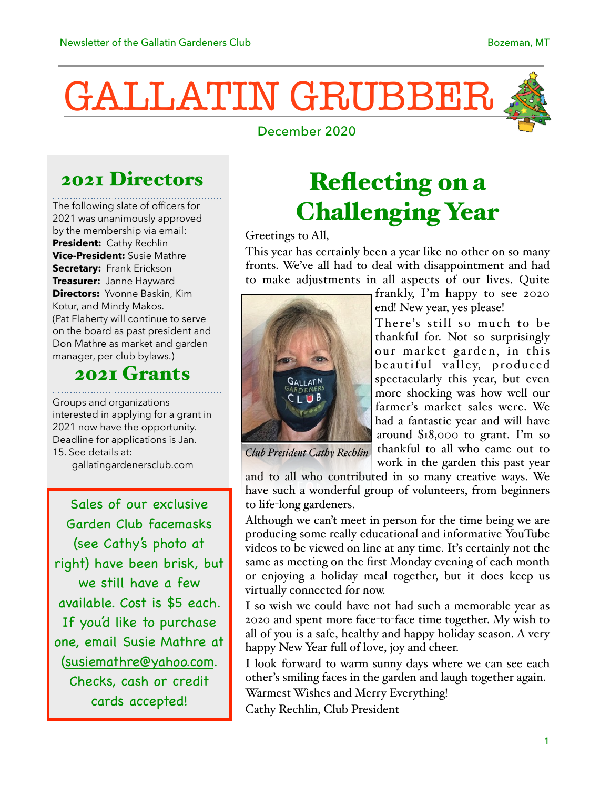# GALLATIN GRUBBER



December 2020

### 2021 Directors

The following slate of officers for 2021 was unanimously approved by the membership via email: **President:** Cathy Rechlin **Vice-President:** Susie Mathre **Secretary:** Frank Erickson **Treasurer:** Janne Hayward **Directors:** Yvonne Baskin, Kim Kotur, and Mindy Makos. (Pat Flaherty will continue to serve on the board as past president and Don Mathre as market and garden manager, per club bylaws.)

#### 2021 Grants

Groups and organizations interested in applying for a grant in 2021 now have the opportunity. Deadline for applications is Jan. 15. See details at:

[gallatingardenersclub.com](http://gallatingardenersclub.com)

Sales of our exclusive Garden Club facemasks (see Cathy's photo at right) have been brisk, but we still have a few available. Cost is \$5 each. If you'd like to purchase one, email Susie Mathre at [\(susiemathre@yahoo.com.](mailto:susiemathre@yahoo.com) Checks, cash or credit cards accepted!

## Reflecting on a Challenging Year

Greetings to All,

This year has certainly been a year like no other on so many fronts. We've all had to deal with disappointment and had to make adjustments in all aspects of our lives. Quite



frankly, I'm happy to see 2020 end! New year, yes please!

There's still so much to be thankful for. Not so surprisingly our market garden, in this beautiful valley, produced spectacularly this year, but even more shocking was how well our farmer's market sales were. We had a fantastic year and will have around \$18,000 to grant. I'm so thankful to all who came out to work in the garden this past year

*Club President Cathy Rechlin*

and to all who contributed in so many creative ways. We have such a wonderful group of volunteers, from beginners to life-long gardeners.

Although we can't meet in person for the time being we are producing some really educational and informative YouTube videos to be viewed on line at any time. It's certainly not the same as meeting on the first Monday evening of each month or enjoying a holiday meal together, but it does keep us virtually connected for now.

I so wish we could have not had such a memorable year as 2020 and spent more face-to-face time together. My wish to all of you is a safe, healthy and happy holiday season. A very happy New Year full of love, joy and cheer.

I look forward to warm sunny days where we can see each other's smiling faces in the garden and laugh together again. Warmest Wishes and Merry Everything! Cathy Rechlin, Club President